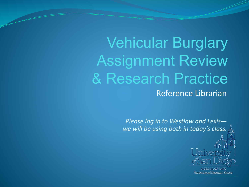Vehicular Burglary Assignment Review & Research Practice Reference Librarian

> *Please log in to Westlaw and Lexis we will be using both in today's class.*



SCHOOL OF LAW Pardee Legal Research Center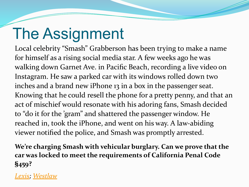# The Assignment

Local celebrity "Smash" Grabberson has been trying to make a name for himself as a rising social media star. A few weeks ago he was walking down Garnet Ave. in Pacific Beach, recording a live video on Instagram. He saw a parked car with its windows rolled down two inches and a brand new iPhone 13 in a box in the passenger seat. Knowing that he could resell the phone for a pretty penny, and that an act of mischief would resonate with his adoring fans, Smash decided to "do it for the 'gram" and shattered the passenger window. He reached in, took the iPhone, and went on his way. A law-abiding viewer notified the police, and Smash was promptly arrested.

**We're charging Smash with vehicular burglary. Can we prove that the car was locked to meet the requirements of California Penal Code §459?**

#### *[Lexis](https://plus.lexis.com/); [Westlaw](https://1.next.westlaw.com/)*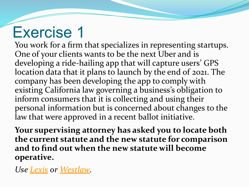## Exercise 1

You work for a firm that specializes in representing startups. One of your clients wants to be the next Uber and is developing a ride-hailing app that will capture users' GPS location data that it plans to launch by the end of 2021. The company has been developing the app to comply with existing California law governing a business's obligation to inform consumers that it is collecting and using their personal information but is concerned about changes to the law that were approved in a recent ballot initiative.

**Your supervising attorney has asked you to locate both the current statute and the new statute for comparison and to find out when the new statute will become operative.**

*Use [Lexis](https://plus.lexis.com/) or [Westlaw.](https://1.next.westlaw.com/)*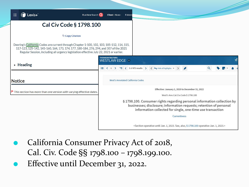| :                                                                                                                                                                                                                                                                             | Lexis+                   | Run New Search Q            |                                   | Client: - None-                                                                                     | <b>Folders</b>                                                                                                                                  |
|-------------------------------------------------------------------------------------------------------------------------------------------------------------------------------------------------------------------------------------------------------------------------------|--------------------------|-----------------------------|-----------------------------------|-----------------------------------------------------------------------------------------------------|-------------------------------------------------------------------------------------------------------------------------------------------------|
|                                                                                                                                                                                                                                                                               |                          | Cal Civ Code § 1798.100     |                                   |                                                                                                     |                                                                                                                                                 |
|                                                                                                                                                                                                                                                                               |                          | <sup>th</sup> Copy Citation |                                   |                                                                                                     |                                                                                                                                                 |
| Deering's California Codes are current through Chapter 1-100, 102, 103, 105-112, 114, 115,<br>117-123, 125-142, 145-160, 164, 173, 174, 177, 180-184, 276, 294, and 307 of the 2021<br>Regular Session, including all urgency legislation effective July 22, 2021 or earlier. |                          |                             |                                   |                                                                                                     |                                                                                                                                                 |
|                                                                                                                                                                                                                                                                               | $\triangleright$ Heading |                             |                                   | <b>THOMSON REUTERS</b><br>WESTLAW EDGE -                                                            |                                                                                                                                                 |
|                                                                                                                                                                                                                                                                               |                          |                             |                                   | $\equiv$ < $\frac{1}{2}$ > $\equiv$ < 3 of 475 results > < $\rightarrow$ Hide all highlights $\sim$ |                                                                                                                                                 |
| <b>Notice</b>                                                                                                                                                                                                                                                                 |                          |                             | West's Annotated California Codes |                                                                                                     |                                                                                                                                                 |
| $\blacktriangleright$ This section has more than one version with varying effective dates.                                                                                                                                                                                    |                          |                             |                                   |                                                                                                     |                                                                                                                                                 |
|                                                                                                                                                                                                                                                                               |                          |                             |                                   |                                                                                                     | § 1798.100. Consumer rights regarding personal information collection by<br>businesses; disclosure; information requests; retention of personal |
|                                                                                                                                                                                                                                                                               |                          |                             |                                   |                                                                                                     |                                                                                                                                                 |

⚫ California Consumer Privacy Act of 2018, Cal. Civ. Code §§ 1798.100 – 1798.199.100. ⚫ Effective until December 31, 2022.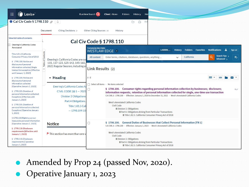| C Lexis+<br><b>III</b>                                                                                                                                                                                                                                                                                                       |                                                                                                                                                                | Run New Search Q<br>Client: - None-<br>Folders<br>History<br>Hel                                                                                                                                                                                                                                                                                                                                                                                                                                                                                                                                         |
|------------------------------------------------------------------------------------------------------------------------------------------------------------------------------------------------------------------------------------------------------------------------------------------------------------------------------|----------------------------------------------------------------------------------------------------------------------------------------------------------------|----------------------------------------------------------------------------------------------------------------------------------------------------------------------------------------------------------------------------------------------------------------------------------------------------------------------------------------------------------------------------------------------------------------------------------------------------------------------------------------------------------------------------------------------------------------------------------------------------------|
| <b>O</b> Cal Civ Code § 1798.110 2                                                                                                                                                                                                                                                                                           | <b>Citing Decisions 2</b><br>Document                                                                                                                          | A<br>$\ominus$<br>$\triangleright$<br>Other Citing Sources 25<br>History                                                                                                                                                                                                                                                                                                                                                                                                                                                                                                                                 |
| <b>View full table of contents</b>                                                                                                                                                                                                                                                                                           |                                                                                                                                                                | <b>Cal Civ Code § 1798.110</b>                                                                                                                                                                                                                                                                                                                                                                                                                                                                                                                                                                           |
| Deering's California Codes<br>Annotated                                                                                                                                                                                                                                                                                      |                                                                                                                                                                | <b>THOMSON REUTERS</b><br><b>Folders Favorites Notifications</b><br>LARRIN<br><b>History</b><br>-2<br>Sign out                                                                                                                                                                                                                                                                                                                                                                                                                                                                                           |
| Title 1.81.5 California<br>Consumer Privacy Act of 2018                                                                                                                                                                                                                                                                      | Contents                                                                                                                                                       | WESTLAW EDGE -<br>Search Tips ><br>٥<br>California<br>₹<br>Enter terms, citations, databases, questions, anything<br>All content<br>Advanced >                                                                                                                                                                                                                                                                                                                                                                                                                                                           |
| § 1798.100. Notice and<br>disclosure of personal<br>information collected; Single<br>transaction exception [Effective<br>until January 1, 2023]                                                                                                                                                                              | Deering's California Codes are cui<br>$\overline{\sigma}$<br>115, 117-123, 125-142, 145-160,<br>2021 Regular Session, including al                             | Link Results (2)                                                                                                                                                                                                                                                                                                                                                                                                                                                                                                                                                                                         |
| § 1798.100. Notice and<br>disclosure of personal                                                                                                                                                                                                                                                                             | • Heading                                                                                                                                                      | $1 - 2$<br>$\checkmark$                                                                                                                                                                                                                                                                                                                                                                                                                                                                                                                                                                                  |
| information collected<br>[Operative January 1, 2023]<br>§ 1798.105. Deletion of<br>personal information collected;<br><b>Exceptions [Effective until</b><br>January 1, 2023]<br>§ 1798.105. Deletion of<br>personal information collected;<br><b>Exceptions [Operative January</b><br>1, 2023<br>§ 1798.106 Right to correct | Deering's California Codes Ar<br>CIVIL CODE (§§ 1 - 7021<br><b>Division 3 Obligations</b><br>Part 4 Obligations.<br><b>Title 1.81.5 Cali</b><br>$-1798.199.10$ | Select all items · No items selected<br>§ 1798.100. Consumer rights regarding personal information collection by businesses; disclosure;<br>□<br>GY<br>information requests; retention of personal information collected for single, one-time use transaction<br>CA CIVIL § 1798.100 - Effective: January 1, 2020 to December 31, 2022 - West's Annotated California Codes<br>West's Annotated California Codes<br>Civil Code<br><b>Ø Division 3. Obligations</b><br><b>M</b> Part 4. Obligations Arising from Particular Transactions<br><b>M</b> Title 1.81.5. California Consumer Privacy Act of 2018 |
| inaccurate personal information<br>[Operative January 1, 2023]                                                                                                                                                                                                                                                               | <b>Notice</b>                                                                                                                                                  | § 1798.100. General Duties of Businesses that Collect Personal Information [FN 1]<br>0<br>CA CIVIL § 1798.100 - Effective: January 1, 2023 - West's Annotated California Codes                                                                                                                                                                                                                                                                                                                                                                                                                           |
| § 1798.110. Disclosure<br>requirements [Effective until<br>January 1, 2023]<br>§ 1798.110. Disclosure                                                                                                                                                                                                                        | $\blacktriangleright$ This section has more than one v                                                                                                         | West's Annotated California Codes<br>Civil Code<br><b>Ø Division 3. Obligations</b>                                                                                                                                                                                                                                                                                                                                                                                                                                                                                                                      |
| requirements [Operative<br>January 1, 2023]                                                                                                                                                                                                                                                                                  |                                                                                                                                                                | <b>Ø Part 4. Obligations Arising from Particular Transactions</b><br>M Title 1.81.5. California Consumer Privacy Act of 2018                                                                                                                                                                                                                                                                                                                                                                                                                                                                             |

⚫ Amended by Prop 24 (passed Nov, 2020). ⚫ Operative January 1, 2023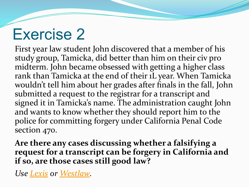### Exercise 2

First year law student John discovered that a member of his study group, Tamicka, did better than him on their civ pro midterm. John became obsessed with getting a higher class rank than Tamicka at the end of their 1L year. When Tamicka wouldn't tell him about her grades after finals in the fall, John submitted a request to the registrar for a transcript and signed it in Tamicka's name. The administration caught John and wants to know whether they should report him to the police for committing forgery under California Penal Code section 470.

**Are there any cases discussing whether a falsifying a request for a transcript can be forgery in California and if so, are those cases still good law?**

*Use [Lexis](https://plus.lexis.com/) or [Westlaw.](https://1.next.westlaw.com/)*